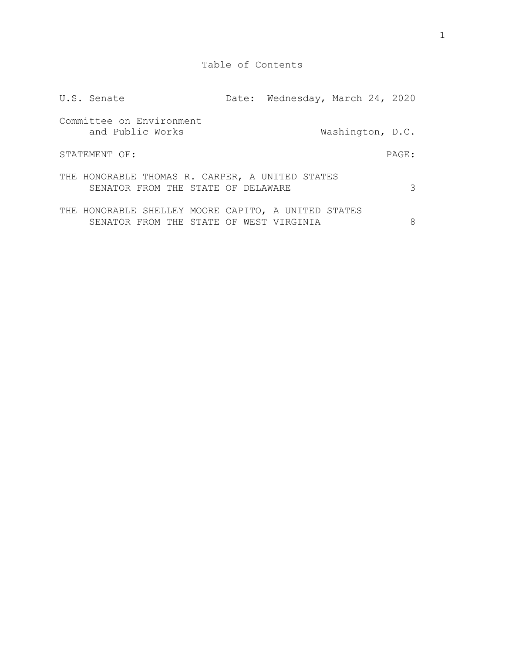| U.S. Senate                                                                                    | Date: Wednesday, March 24, 2020 |                  |       |
|------------------------------------------------------------------------------------------------|---------------------------------|------------------|-------|
| Committee on Environment<br>and Public Works                                                   |                                 | Washington, D.C. |       |
| STATEMENT OF:                                                                                  |                                 |                  | PAGE: |
| THE HONORABLE THOMAS R. CARPER, A UNITED STATES<br>SENATOR FROM THE STATE OF DELAWARE          |                                 |                  | 3     |
| THE HONORABLE SHELLEY MOORE CAPITO, A UNITED STATES<br>SENATOR FROM THE STATE OF WEST VIRGINIA |                                 |                  | 8     |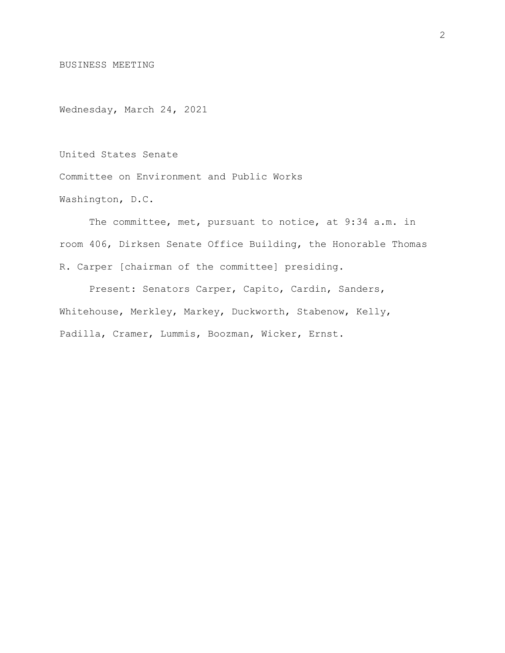BUSINESS MEETING

Wednesday, March 24, 2021

United States Senate

Committee on Environment and Public Works

Washington, D.C.

The committee, met, pursuant to notice, at 9:34 a.m. in room 406, Dirksen Senate Office Building, the Honorable Thomas R. Carper [chairman of the committee] presiding.

Present: Senators Carper, Capito, Cardin, Sanders, Whitehouse, Merkley, Markey, Duckworth, Stabenow, Kelly, Padilla, Cramer, Lummis, Boozman, Wicker, Ernst.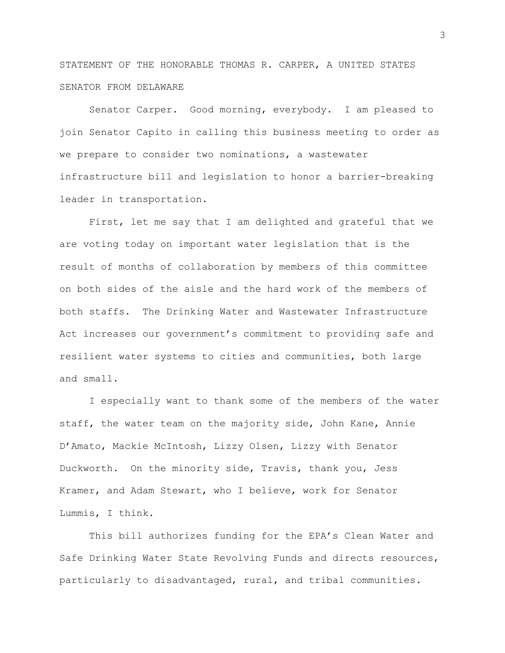STATEMENT OF THE HONORABLE THOMAS R. CARPER, A UNITED STATES SENATOR FROM DELAWARE

Senator Carper. Good morning, everybody. I am pleased to join Senator Capito in calling this business meeting to order as we prepare to consider two nominations, a wastewater infrastructure bill and legislation to honor a barrier-breaking leader in transportation.

First, let me say that I am delighted and grateful that we are voting today on important water legislation that is the result of months of collaboration by members of this committee on both sides of the aisle and the hard work of the members of both staffs. The Drinking Water and Wastewater Infrastructure Act increases our government's commitment to providing safe and resilient water systems to cities and communities, both large and small.

I especially want to thank some of the members of the water staff, the water team on the majority side, John Kane, Annie D'Amato, Mackie McIntosh, Lizzy Olsen, Lizzy with Senator Duckworth. On the minority side, Travis, thank you, Jess Kramer, and Adam Stewart, who I believe, work for Senator Lummis, I think.

This bill authorizes funding for the EPA's Clean Water and Safe Drinking Water State Revolving Funds and directs resources, particularly to disadvantaged, rural, and tribal communities.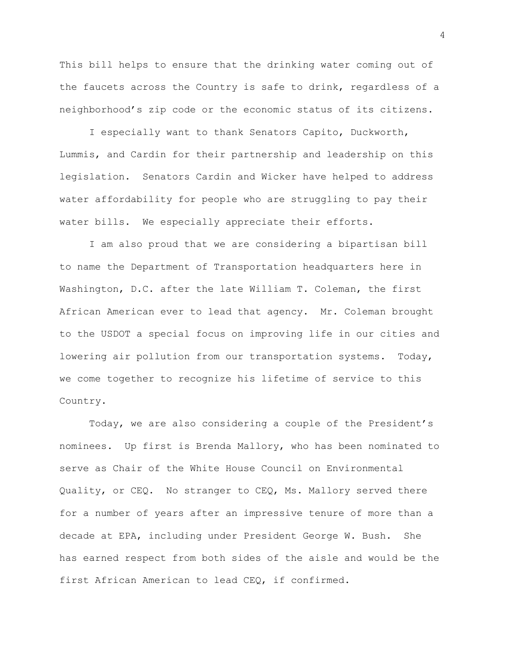This bill helps to ensure that the drinking water coming out of the faucets across the Country is safe to drink, regardless of a neighborhood's zip code or the economic status of its citizens.

I especially want to thank Senators Capito, Duckworth, Lummis, and Cardin for their partnership and leadership on this legislation. Senators Cardin and Wicker have helped to address water affordability for people who are struggling to pay their water bills. We especially appreciate their efforts.

I am also proud that we are considering a bipartisan bill to name the Department of Transportation headquarters here in Washington, D.C. after the late William T. Coleman, the first African American ever to lead that agency. Mr. Coleman brought to the USDOT a special focus on improving life in our cities and lowering air pollution from our transportation systems. Today, we come together to recognize his lifetime of service to this Country.

Today, we are also considering a couple of the President's nominees. Up first is Brenda Mallory, who has been nominated to serve as Chair of the White House Council on Environmental Quality, or CEQ. No stranger to CEQ, Ms. Mallory served there for a number of years after an impressive tenure of more than a decade at EPA, including under President George W. Bush. She has earned respect from both sides of the aisle and would be the first African American to lead CEQ, if confirmed.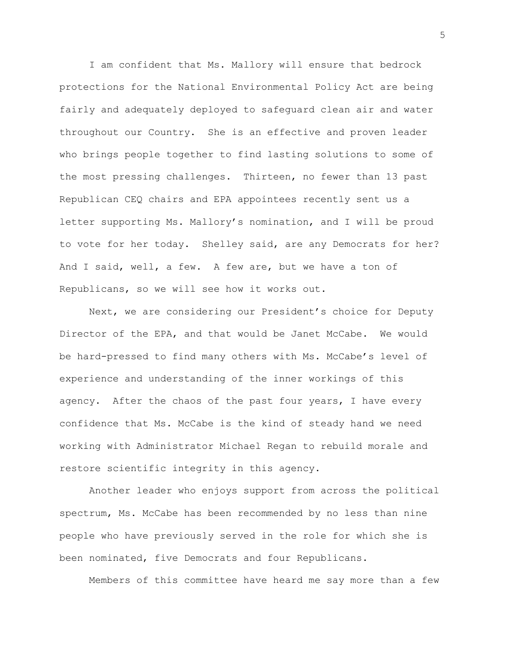I am confident that Ms. Mallory will ensure that bedrock protections for the National Environmental Policy Act are being fairly and adequately deployed to safeguard clean air and water throughout our Country. She is an effective and proven leader who brings people together to find lasting solutions to some of the most pressing challenges. Thirteen, no fewer than 13 past Republican CEQ chairs and EPA appointees recently sent us a letter supporting Ms. Mallory's nomination, and I will be proud to vote for her today. Shelley said, are any Democrats for her? And I said, well, a few. A few are, but we have a ton of Republicans, so we will see how it works out.

Next, we are considering our President's choice for Deputy Director of the EPA, and that would be Janet McCabe. We would be hard-pressed to find many others with Ms. McCabe's level of experience and understanding of the inner workings of this agency. After the chaos of the past four years, I have every confidence that Ms. McCabe is the kind of steady hand we need working with Administrator Michael Regan to rebuild morale and restore scientific integrity in this agency.

Another leader who enjoys support from across the political spectrum, Ms. McCabe has been recommended by no less than nine people who have previously served in the role for which she is been nominated, five Democrats and four Republicans.

Members of this committee have heard me say more than a few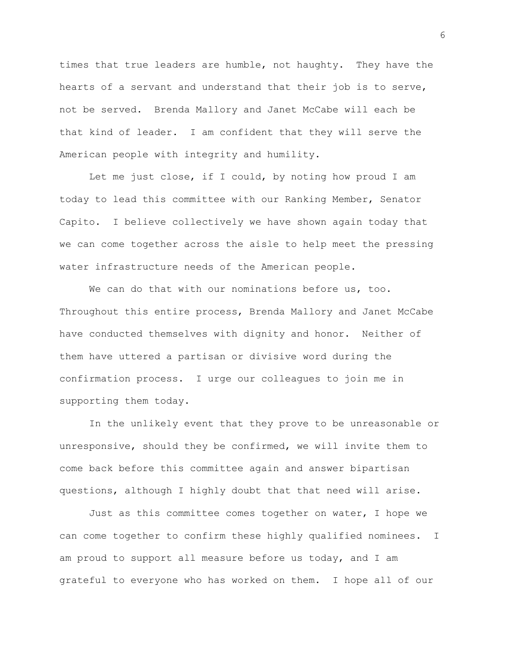times that true leaders are humble, not haughty. They have the hearts of a servant and understand that their job is to serve, not be served. Brenda Mallory and Janet McCabe will each be that kind of leader. I am confident that they will serve the American people with integrity and humility.

Let me just close, if I could, by noting how proud I am today to lead this committee with our Ranking Member, Senator Capito. I believe collectively we have shown again today that we can come together across the aisle to help meet the pressing water infrastructure needs of the American people.

We can do that with our nominations before us, too. Throughout this entire process, Brenda Mallory and Janet McCabe have conducted themselves with dignity and honor. Neither of them have uttered a partisan or divisive word during the confirmation process. I urge our colleagues to join me in supporting them today.

In the unlikely event that they prove to be unreasonable or unresponsive, should they be confirmed, we will invite them to come back before this committee again and answer bipartisan questions, although I highly doubt that that need will arise.

Just as this committee comes together on water, I hope we can come together to confirm these highly qualified nominees. I am proud to support all measure before us today, and I am grateful to everyone who has worked on them. I hope all of our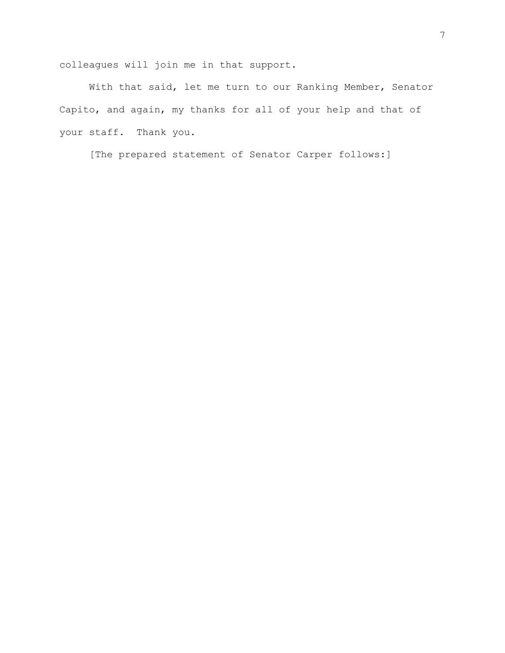colleagues will join me in that support.

With that said, let me turn to our Ranking Member, Senator Capito, and again, my thanks for all of your help and that of your staff. Thank you.

[The prepared statement of Senator Carper follows:]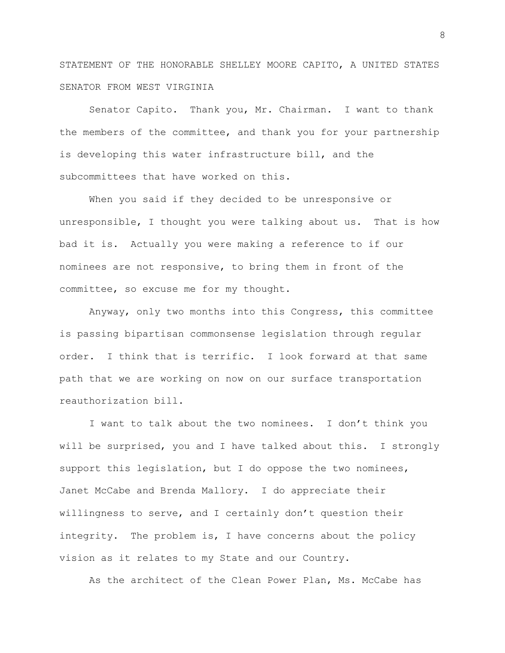STATEMENT OF THE HONORABLE SHELLEY MOORE CAPITO, A UNITED STATES SENATOR FROM WEST VIRGINIA

Senator Capito. Thank you, Mr. Chairman. I want to thank the members of the committee, and thank you for your partnership is developing this water infrastructure bill, and the subcommittees that have worked on this.

When you said if they decided to be unresponsive or unresponsible, I thought you were talking about us. That is how bad it is. Actually you were making a reference to if our nominees are not responsive, to bring them in front of the committee, so excuse me for my thought.

Anyway, only two months into this Congress, this committee is passing bipartisan commonsense legislation through regular order. I think that is terrific. I look forward at that same path that we are working on now on our surface transportation reauthorization bill.

I want to talk about the two nominees. I don't think you will be surprised, you and I have talked about this. I strongly support this legislation, but I do oppose the two nominees, Janet McCabe and Brenda Mallory. I do appreciate their willingness to serve, and I certainly don't question their integrity. The problem is, I have concerns about the policy vision as it relates to my State and our Country.

As the architect of the Clean Power Plan, Ms. McCabe has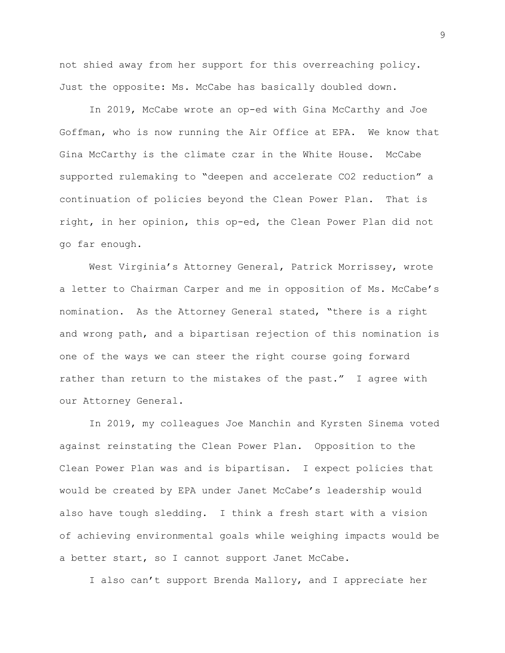not shied away from her support for this overreaching policy. Just the opposite: Ms. McCabe has basically doubled down.

In 2019, McCabe wrote an op-ed with Gina McCarthy and Joe Goffman, who is now running the Air Office at EPA. We know that Gina McCarthy is the climate czar in the White House. McCabe supported rulemaking to "deepen and accelerate CO2 reduction" a continuation of policies beyond the Clean Power Plan. That is right, in her opinion, this op-ed, the Clean Power Plan did not go far enough.

West Virginia's Attorney General, Patrick Morrissey, wrote a letter to Chairman Carper and me in opposition of Ms. McCabe's nomination. As the Attorney General stated, "there is a right and wrong path, and a bipartisan rejection of this nomination is one of the ways we can steer the right course going forward rather than return to the mistakes of the past." I agree with our Attorney General.

In 2019, my colleagues Joe Manchin and Kyrsten Sinema voted against reinstating the Clean Power Plan. Opposition to the Clean Power Plan was and is bipartisan. I expect policies that would be created by EPA under Janet McCabe's leadership would also have tough sledding. I think a fresh start with a vision of achieving environmental goals while weighing impacts would be a better start, so I cannot support Janet McCabe.

I also can't support Brenda Mallory, and I appreciate her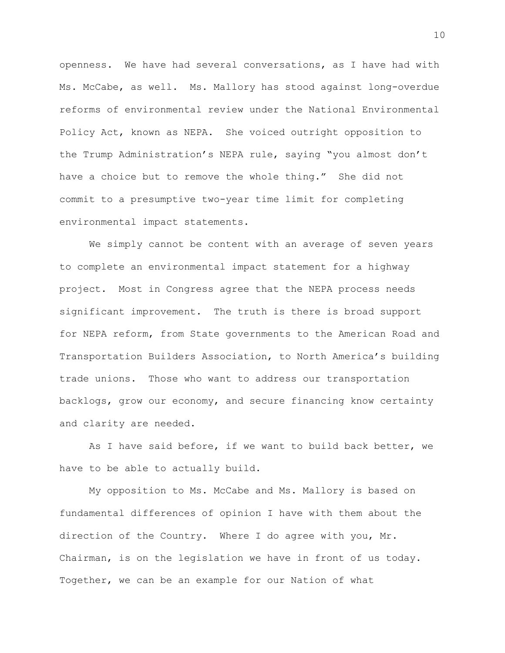openness. We have had several conversations, as I have had with Ms. McCabe, as well. Ms. Mallory has stood against long-overdue reforms of environmental review under the National Environmental Policy Act, known as NEPA. She voiced outright opposition to the Trump Administration's NEPA rule, saying "you almost don't have a choice but to remove the whole thing." She did not commit to a presumptive two-year time limit for completing environmental impact statements.

We simply cannot be content with an average of seven years to complete an environmental impact statement for a highway project. Most in Congress agree that the NEPA process needs significant improvement. The truth is there is broad support for NEPA reform, from State governments to the American Road and Transportation Builders Association, to North America's building trade unions. Those who want to address our transportation backlogs, grow our economy, and secure financing know certainty and clarity are needed.

As I have said before, if we want to build back better, we have to be able to actually build.

My opposition to Ms. McCabe and Ms. Mallory is based on fundamental differences of opinion I have with them about the direction of the Country. Where I do agree with you, Mr. Chairman, is on the legislation we have in front of us today. Together, we can be an example for our Nation of what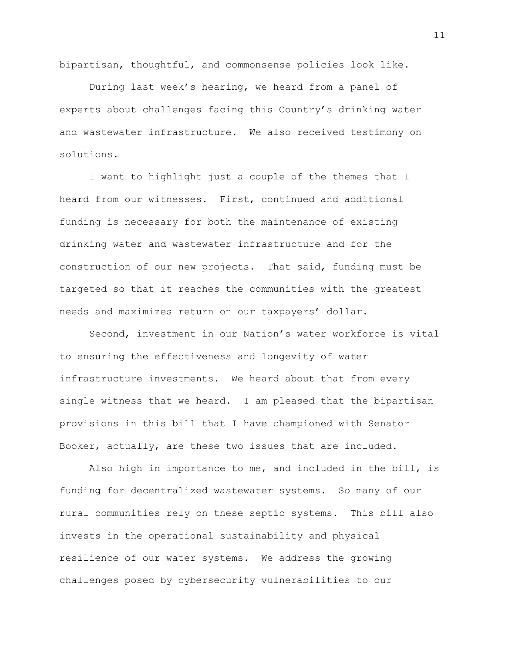bipartisan, thoughtful, and commonsense policies look like.

During last week's hearing, we heard from a panel of experts about challenges facing this Country's drinking water and wastewater infrastructure. We also received testimony on solutions.

I want to highlight just a couple of the themes that I heard from our witnesses. First, continued and additional funding is necessary for both the maintenance of existing drinking water and wastewater infrastructure and for the construction of our new projects. That said, funding must be targeted so that it reaches the communities with the greatest needs and maximizes return on our taxpayers' dollar.

Second, investment in our Nation's water workforce is vital to ensuring the effectiveness and longevity of water infrastructure investments. We heard about that from every single witness that we heard. I am pleased that the bipartisan provisions in this bill that I have championed with Senator Booker, actually, are these two issues that are included.

Also high in importance to me, and included in the bill, is funding for decentralized wastewater systems. So many of our rural communities rely on these septic systems. This bill also invests in the operational sustainability and physical resilience of our water systems. We address the growing challenges posed by cybersecurity vulnerabilities to our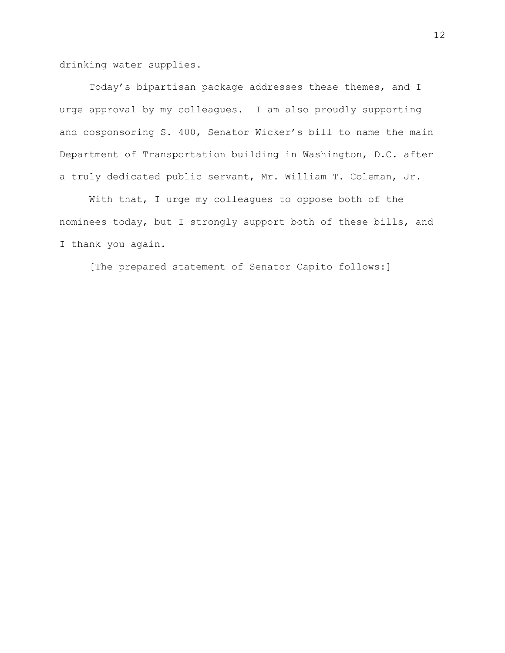drinking water supplies.

Today's bipartisan package addresses these themes, and I urge approval by my colleagues. I am also proudly supporting and cosponsoring S. 400, Senator Wicker's bill to name the main Department of Transportation building in Washington, D.C. after a truly dedicated public servant, Mr. William T. Coleman, Jr.

With that, I urge my colleagues to oppose both of the nominees today, but I strongly support both of these bills, and I thank you again.

[The prepared statement of Senator Capito follows:]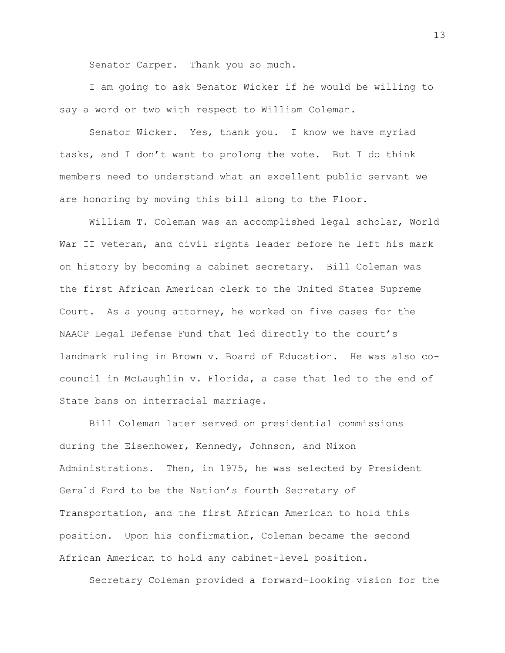Senator Carper. Thank you so much.

I am going to ask Senator Wicker if he would be willing to say a word or two with respect to William Coleman.

Senator Wicker. Yes, thank you. I know we have myriad tasks, and I don't want to prolong the vote. But I do think members need to understand what an excellent public servant we are honoring by moving this bill along to the Floor.

William T. Coleman was an accomplished legal scholar, World War II veteran, and civil rights leader before he left his mark on history by becoming a cabinet secretary. Bill Coleman was the first African American clerk to the United States Supreme Court. As a young attorney, he worked on five cases for the NAACP Legal Defense Fund that led directly to the court's landmark ruling in Brown v. Board of Education. He was also cocouncil in McLaughlin v. Florida, a case that led to the end of State bans on interracial marriage.

Bill Coleman later served on presidential commissions during the Eisenhower, Kennedy, Johnson, and Nixon Administrations. Then, in 1975, he was selected by President Gerald Ford to be the Nation's fourth Secretary of Transportation, and the first African American to hold this position. Upon his confirmation, Coleman became the second African American to hold any cabinet-level position.

Secretary Coleman provided a forward-looking vision for the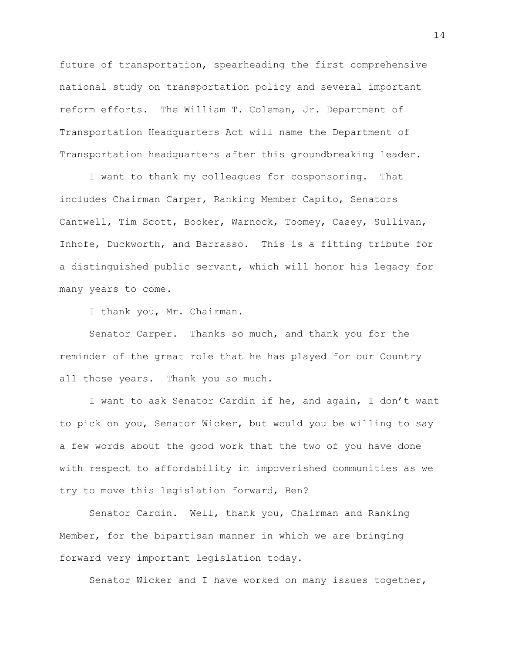future of transportation, spearheading the first comprehensive national study on transportation policy and several important reform efforts. The William T. Coleman, Jr. Department of Transportation Headquarters Act will name the Department of Transportation headquarters after this groundbreaking leader.

I want to thank my colleagues for cosponsoring. That includes Chairman Carper, Ranking Member Capito, Senators Cantwell, Tim Scott, Booker, Warnock, Toomey, Casey, Sullivan, Inhofe, Duckworth, and Barrasso. This is a fitting tribute for a distinguished public servant, which will honor his legacy for many years to come.

I thank you, Mr. Chairman.

Senator Carper. Thanks so much, and thank you for the reminder of the great role that he has played for our Country all those years. Thank you so much.

I want to ask Senator Cardin if he, and again, I don't want to pick on you, Senator Wicker, but would you be willing to say a few words about the good work that the two of you have done with respect to affordability in impoverished communities as we try to move this legislation forward, Ben?

Senator Cardin. Well, thank you, Chairman and Ranking Member, for the bipartisan manner in which we are bringing forward very important legislation today.

Senator Wicker and I have worked on many issues together,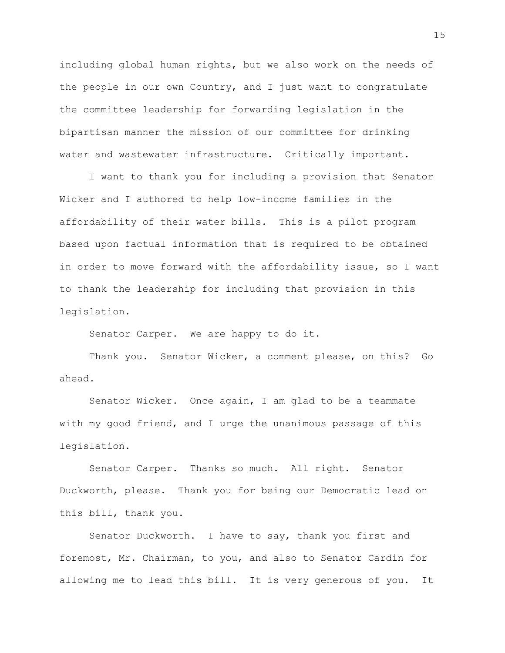including global human rights, but we also work on the needs of the people in our own Country, and I just want to congratulate the committee leadership for forwarding legislation in the bipartisan manner the mission of our committee for drinking water and wastewater infrastructure. Critically important.

I want to thank you for including a provision that Senator Wicker and I authored to help low-income families in the affordability of their water bills. This is a pilot program based upon factual information that is required to be obtained in order to move forward with the affordability issue, so I want to thank the leadership for including that provision in this legislation.

Senator Carper. We are happy to do it.

Thank you. Senator Wicker, a comment please, on this? Go ahead.

Senator Wicker. Once again, I am glad to be a teammate with my good friend, and I urge the unanimous passage of this legislation.

Senator Carper. Thanks so much. All right. Senator Duckworth, please. Thank you for being our Democratic lead on this bill, thank you.

Senator Duckworth. I have to say, thank you first and foremost, Mr. Chairman, to you, and also to Senator Cardin for allowing me to lead this bill. It is very generous of you. It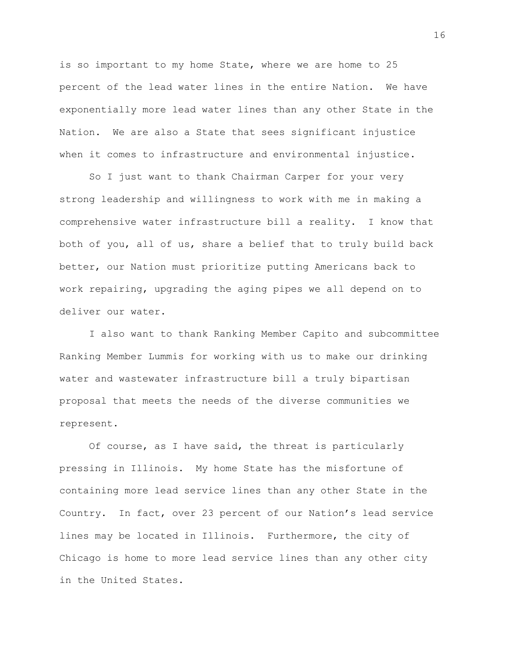is so important to my home State, where we are home to 25 percent of the lead water lines in the entire Nation. We have exponentially more lead water lines than any other State in the Nation. We are also a State that sees significant injustice when it comes to infrastructure and environmental injustice.

So I just want to thank Chairman Carper for your very strong leadership and willingness to work with me in making a comprehensive water infrastructure bill a reality. I know that both of you, all of us, share a belief that to truly build back better, our Nation must prioritize putting Americans back to work repairing, upgrading the aging pipes we all depend on to deliver our water.

I also want to thank Ranking Member Capito and subcommittee Ranking Member Lummis for working with us to make our drinking water and wastewater infrastructure bill a truly bipartisan proposal that meets the needs of the diverse communities we represent.

Of course, as I have said, the threat is particularly pressing in Illinois. My home State has the misfortune of containing more lead service lines than any other State in the Country. In fact, over 23 percent of our Nation's lead service lines may be located in Illinois. Furthermore, the city of Chicago is home to more lead service lines than any other city in the United States.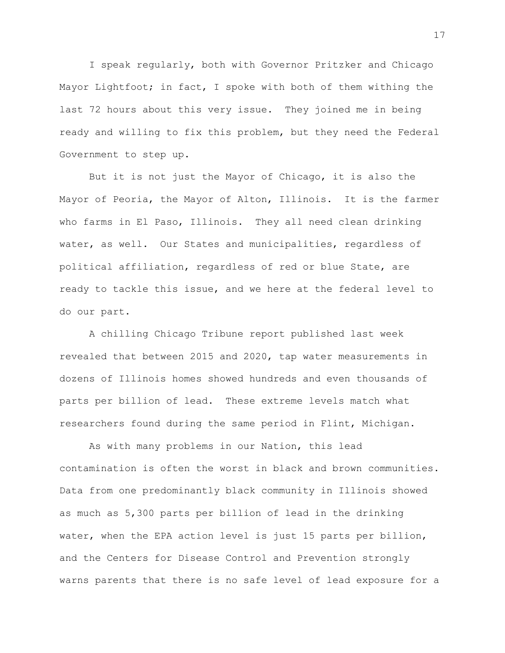I speak regularly, both with Governor Pritzker and Chicago Mayor Lightfoot; in fact, I spoke with both of them withing the last 72 hours about this very issue. They joined me in being ready and willing to fix this problem, but they need the Federal Government to step up.

But it is not just the Mayor of Chicago, it is also the Mayor of Peoria, the Mayor of Alton, Illinois. It is the farmer who farms in El Paso, Illinois. They all need clean drinking water, as well. Our States and municipalities, regardless of political affiliation, regardless of red or blue State, are ready to tackle this issue, and we here at the federal level to do our part.

A chilling Chicago Tribune report published last week revealed that between 2015 and 2020, tap water measurements in dozens of Illinois homes showed hundreds and even thousands of parts per billion of lead. These extreme levels match what researchers found during the same period in Flint, Michigan.

As with many problems in our Nation, this lead contamination is often the worst in black and brown communities. Data from one predominantly black community in Illinois showed as much as 5,300 parts per billion of lead in the drinking water, when the EPA action level is just 15 parts per billion, and the Centers for Disease Control and Prevention strongly warns parents that there is no safe level of lead exposure for a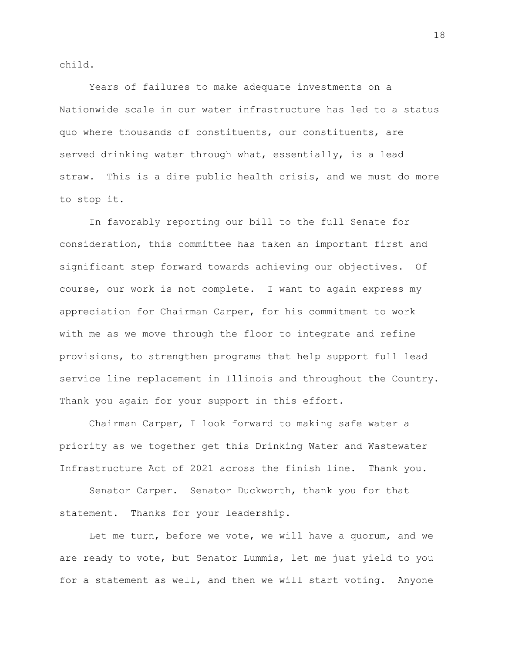child.

Years of failures to make adequate investments on a Nationwide scale in our water infrastructure has led to a status quo where thousands of constituents, our constituents, are served drinking water through what, essentially, is a lead straw. This is a dire public health crisis, and we must do more to stop it.

In favorably reporting our bill to the full Senate for consideration, this committee has taken an important first and significant step forward towards achieving our objectives. Of course, our work is not complete. I want to again express my appreciation for Chairman Carper, for his commitment to work with me as we move through the floor to integrate and refine provisions, to strengthen programs that help support full lead service line replacement in Illinois and throughout the Country. Thank you again for your support in this effort.

Chairman Carper, I look forward to making safe water a priority as we together get this Drinking Water and Wastewater Infrastructure Act of 2021 across the finish line. Thank you.

Senator Carper. Senator Duckworth, thank you for that statement. Thanks for your leadership.

Let me turn, before we vote, we will have a quorum, and we are ready to vote, but Senator Lummis, let me just yield to you for a statement as well, and then we will start voting. Anyone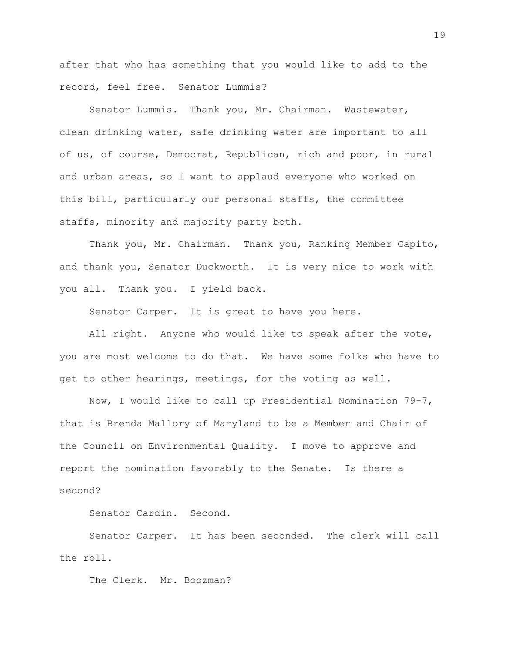after that who has something that you would like to add to the record, feel free. Senator Lummis?

Senator Lummis. Thank you, Mr. Chairman. Wastewater, clean drinking water, safe drinking water are important to all of us, of course, Democrat, Republican, rich and poor, in rural and urban areas, so I want to applaud everyone who worked on this bill, particularly our personal staffs, the committee staffs, minority and majority party both.

Thank you, Mr. Chairman. Thank you, Ranking Member Capito, and thank you, Senator Duckworth. It is very nice to work with you all. Thank you. I yield back.

Senator Carper. It is great to have you here.

All right. Anyone who would like to speak after the vote, you are most welcome to do that. We have some folks who have to get to other hearings, meetings, for the voting as well.

Now, I would like to call up Presidential Nomination 79-7, that is Brenda Mallory of Maryland to be a Member and Chair of the Council on Environmental Quality. I move to approve and report the nomination favorably to the Senate. Is there a second?

Senator Cardin. Second.

Senator Carper. It has been seconded. The clerk will call the roll.

The Clerk. Mr. Boozman?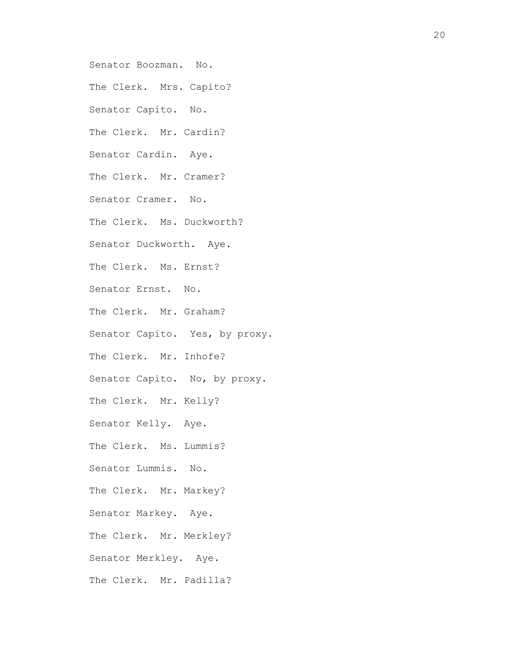Senator Boozman. No.

The Clerk. Mrs. Capito?

Senator Capito. No.

The Clerk. Mr. Cardin?

Senator Cardin. Aye.

The Clerk. Mr. Cramer?

Senator Cramer. No.

The Clerk. Ms. Duckworth?

Senator Duckworth. Aye.

The Clerk. Ms. Ernst?

Senator Ernst. No.

The Clerk. Mr. Graham?

Senator Capito. Yes, by proxy.

The Clerk. Mr. Inhofe?

Senator Capito. No, by proxy.

The Clerk. Mr. Kelly?

Senator Kelly. Aye.

The Clerk. Ms. Lummis?

Senator Lummis. No.

The Clerk. Mr. Markey?

Senator Markey. Aye.

The Clerk. Mr. Merkley?

Senator Merkley. Aye.

The Clerk. Mr. Padilla?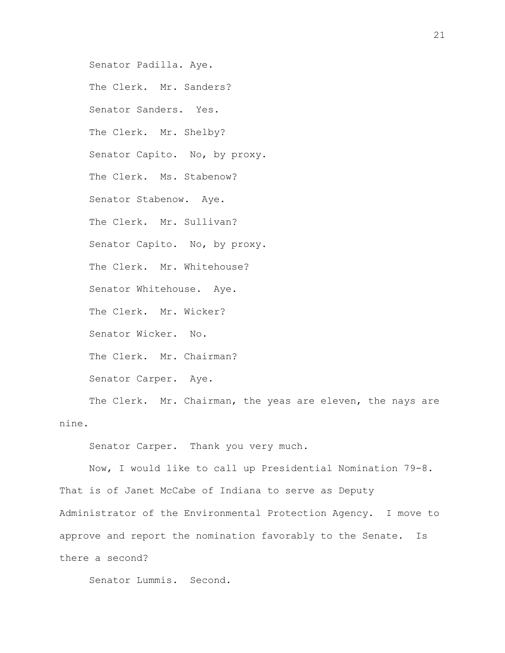Senator Padilla. Aye. The Clerk. Mr. Sanders? Senator Sanders. Yes. The Clerk. Mr. Shelby? Senator Capito. No, by proxy. The Clerk. Ms. Stabenow? Senator Stabenow. Aye. The Clerk. Mr. Sullivan? Senator Capito. No, by proxy. The Clerk. Mr. Whitehouse? Senator Whitehouse. Aye. The Clerk. Mr. Wicker? Senator Wicker. No. The Clerk. Mr. Chairman? Senator Carper. Aye.

The Clerk. Mr. Chairman, the yeas are eleven, the nays are nine.

Senator Carper. Thank you very much.

Now, I would like to call up Presidential Nomination 79-8. That is of Janet McCabe of Indiana to serve as Deputy Administrator of the Environmental Protection Agency. I move to approve and report the nomination favorably to the Senate. Is there a second?

Senator Lummis. Second.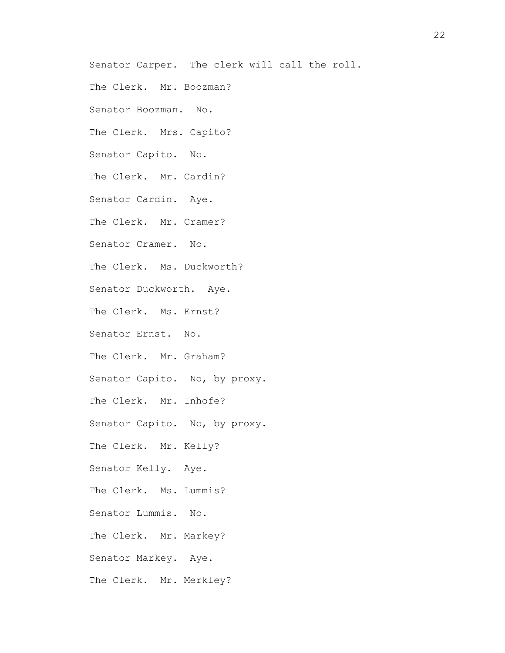Senator Carper. The clerk will call the roll.

The Clerk. Mr. Boozman?

Senator Boozman. No.

The Clerk. Mrs. Capito?

Senator Capito. No.

The Clerk. Mr. Cardin?

Senator Cardin. Aye.

The Clerk. Mr. Cramer?

Senator Cramer. No.

The Clerk. Ms. Duckworth?

Senator Duckworth. Aye.

The Clerk. Ms. Ernst?

Senator Ernst. No.

The Clerk. Mr. Graham?

Senator Capito. No, by proxy.

The Clerk. Mr. Inhofe?

Senator Capito. No, by proxy.

The Clerk. Mr. Kelly?

Senator Kelly. Aye.

The Clerk. Ms. Lummis?

Senator Lummis. No.

The Clerk. Mr. Markey?

Senator Markey. Aye.

The Clerk. Mr. Merkley?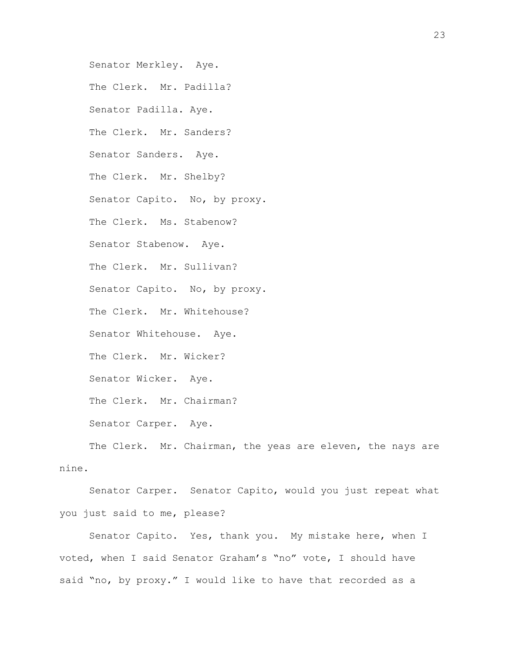Senator Merkley. Aye. The Clerk. Mr. Padilla? Senator Padilla. Aye. The Clerk. Mr. Sanders? Senator Sanders. Aye. The Clerk. Mr. Shelby? Senator Capito. No, by proxy. The Clerk. Ms. Stabenow? Senator Stabenow. Aye. The Clerk. Mr. Sullivan? Senator Capito. No, by proxy. The Clerk. Mr. Whitehouse? Senator Whitehouse. Aye. The Clerk. Mr. Wicker? Senator Wicker. Aye. The Clerk. Mr. Chairman? Senator Carper. Aye. The Clerk. Mr. Chairman, the yeas are eleven, the nays are

nine.

Senator Carper. Senator Capito, would you just repeat what you just said to me, please?

Senator Capito. Yes, thank you. My mistake here, when I voted, when I said Senator Graham's "no" vote, I should have said "no, by proxy." I would like to have that recorded as a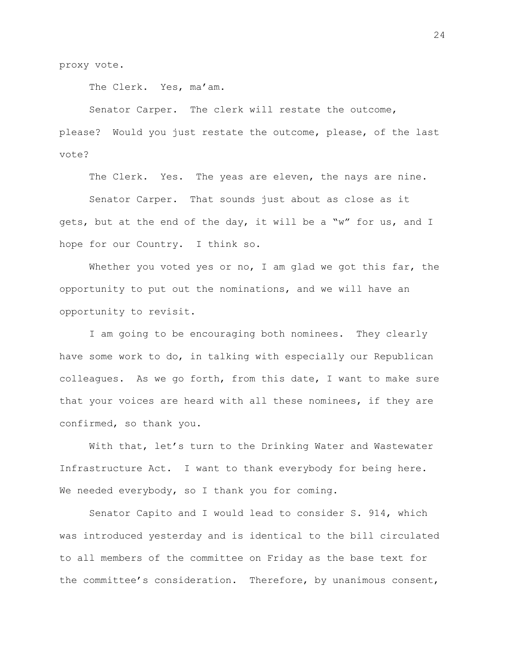proxy vote.

The Clerk. Yes, ma'am.

Senator Carper. The clerk will restate the outcome,

please? Would you just restate the outcome, please, of the last vote?

The Clerk. Yes. The yeas are eleven, the nays are nine.

Senator Carper. That sounds just about as close as it gets, but at the end of the day, it will be a "w" for us, and I hope for our Country. I think so.

Whether you voted yes or no, I am glad we got this far, the opportunity to put out the nominations, and we will have an opportunity to revisit.

I am going to be encouraging both nominees. They clearly have some work to do, in talking with especially our Republican colleagues. As we go forth, from this date, I want to make sure that your voices are heard with all these nominees, if they are confirmed, so thank you.

With that, let's turn to the Drinking Water and Wastewater Infrastructure Act. I want to thank everybody for being here. We needed everybody, so I thank you for coming.

Senator Capito and I would lead to consider S. 914, which was introduced yesterday and is identical to the bill circulated to all members of the committee on Friday as the base text for the committee's consideration. Therefore, by unanimous consent,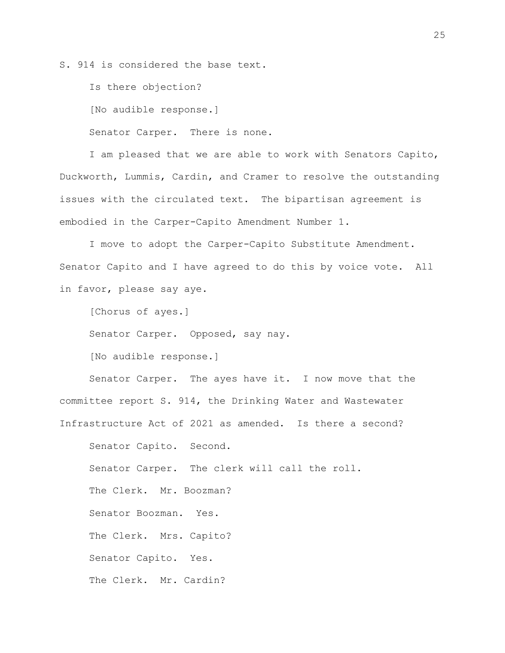S. 914 is considered the base text.

Is there objection?

[No audible response.]

Senator Carper. There is none.

I am pleased that we are able to work with Senators Capito, Duckworth, Lummis, Cardin, and Cramer to resolve the outstanding issues with the circulated text. The bipartisan agreement is embodied in the Carper-Capito Amendment Number 1.

I move to adopt the Carper-Capito Substitute Amendment. Senator Capito and I have agreed to do this by voice vote. All in favor, please say aye.

[Chorus of ayes.]

Senator Carper. Opposed, say nay.

[No audible response.]

Senator Carper. The ayes have it. I now move that the committee report S. 914, the Drinking Water and Wastewater Infrastructure Act of 2021 as amended. Is there a second?

Senator Capito. Second. Senator Carper. The clerk will call the roll. The Clerk. Mr. Boozman? Senator Boozman. Yes. The Clerk. Mrs. Capito? Senator Capito. Yes. The Clerk. Mr. Cardin?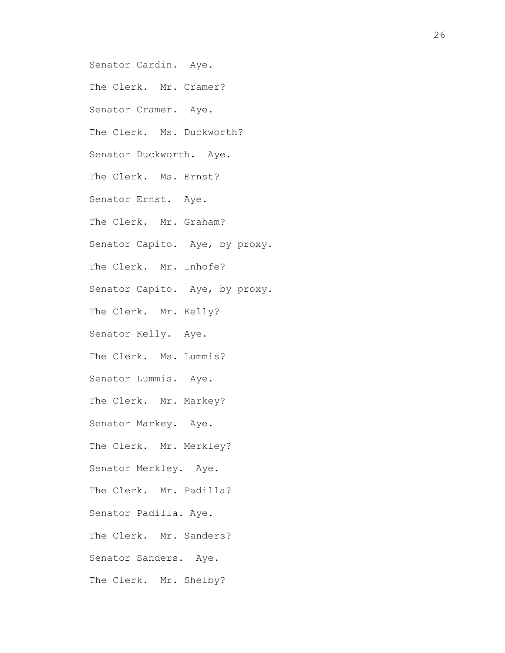Senator Cardin. Aye. The Clerk. Mr. Cramer? Senator Cramer. Aye. The Clerk. Ms. Duckworth? Senator Duckworth. Aye. The Clerk. Ms. Ernst? Senator Ernst. Aye. The Clerk. Mr. Graham? Senator Capito. Aye, by proxy. The Clerk. Mr. Inhofe? Senator Capito. Aye, by proxy. The Clerk. Mr. Kelly? Senator Kelly. Aye. The Clerk. Ms. Lummis? Senator Lummis. Aye. The Clerk. Mr. Markey? Senator Markey. Aye. The Clerk. Mr. Merkley? Senator Merkley. Aye. The Clerk. Mr. Padilla? Senator Padilla. Aye. The Clerk. Mr. Sanders? Senator Sanders. Aye. The Clerk. Mr. Shelby?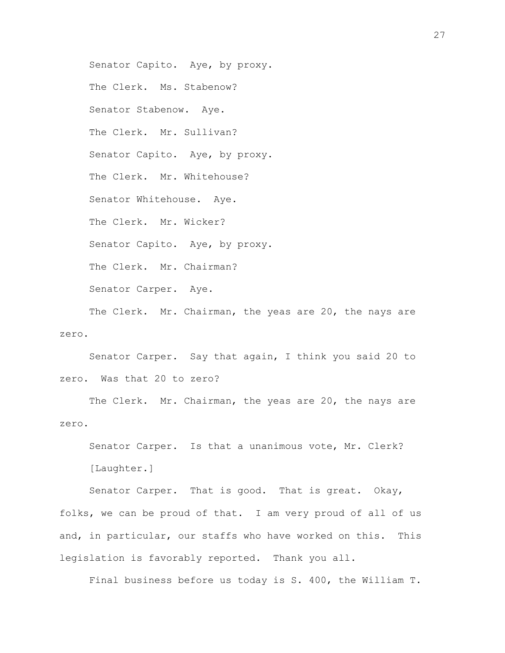Senator Capito. Aye, by proxy. The Clerk. Ms. Stabenow? Senator Stabenow. Aye. The Clerk. Mr. Sullivan? Senator Capito. Aye, by proxy. The Clerk. Mr. Whitehouse? Senator Whitehouse. Aye. The Clerk. Mr. Wicker? Senator Capito. Aye, by proxy. The Clerk. Mr. Chairman? Senator Carper. Aye. The Clerk. Mr. Chairman, the yeas are 20, the nays are zero.

Senator Carper. Say that again, I think you said 20 to zero. Was that 20 to zero?

The Clerk. Mr. Chairman, the yeas are 20, the nays are zero.

Senator Carper. Is that a unanimous vote, Mr. Clerk? [Laughter.]

Senator Carper. That is good. That is great. Okay, folks, we can be proud of that. I am very proud of all of us and, in particular, our staffs who have worked on this. This legislation is favorably reported. Thank you all.

Final business before us today is S. 400, the William T.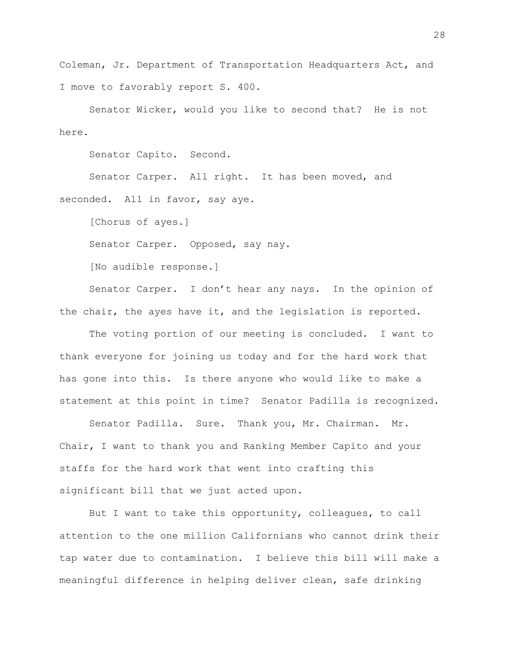Coleman, Jr. Department of Transportation Headquarters Act, and I move to favorably report S. 400.

Senator Wicker, would you like to second that? He is not here.

Senator Capito. Second.

Senator Carper. All right. It has been moved, and seconded. All in favor, say aye.

[Chorus of ayes.]

Senator Carper. Opposed, say nay.

[No audible response.]

Senator Carper. I don't hear any nays. In the opinion of the chair, the ayes have it, and the legislation is reported.

The voting portion of our meeting is concluded. I want to thank everyone for joining us today and for the hard work that has gone into this. Is there anyone who would like to make a statement at this point in time? Senator Padilla is recognized.

Senator Padilla. Sure. Thank you, Mr. Chairman. Mr. Chair, I want to thank you and Ranking Member Capito and your staffs for the hard work that went into crafting this significant bill that we just acted upon.

But I want to take this opportunity, colleagues, to call attention to the one million Californians who cannot drink their tap water due to contamination. I believe this bill will make a meaningful difference in helping deliver clean, safe drinking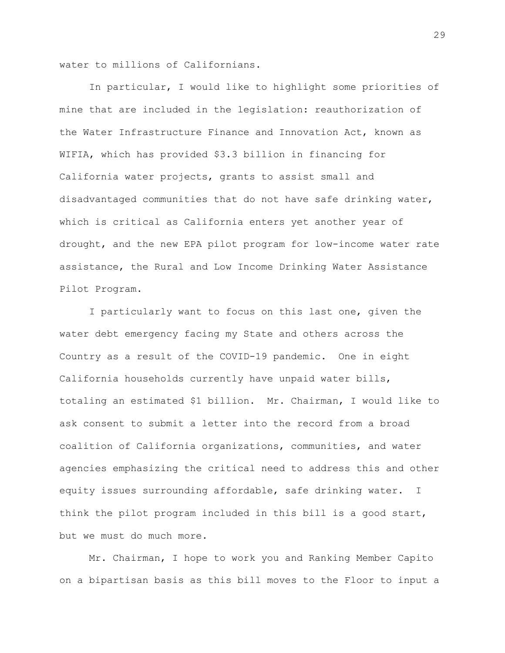water to millions of Californians.

In particular, I would like to highlight some priorities of mine that are included in the legislation: reauthorization of the Water Infrastructure Finance and Innovation Act, known as WIFIA, which has provided \$3.3 billion in financing for California water projects, grants to assist small and disadvantaged communities that do not have safe drinking water, which is critical as California enters yet another year of drought, and the new EPA pilot program for low-income water rate assistance, the Rural and Low Income Drinking Water Assistance Pilot Program.

I particularly want to focus on this last one, given the water debt emergency facing my State and others across the Country as a result of the COVID-19 pandemic. One in eight California households currently have unpaid water bills, totaling an estimated \$1 billion. Mr. Chairman, I would like to ask consent to submit a letter into the record from a broad coalition of California organizations, communities, and water agencies emphasizing the critical need to address this and other equity issues surrounding affordable, safe drinking water. I think the pilot program included in this bill is a good start, but we must do much more.

Mr. Chairman, I hope to work you and Ranking Member Capito on a bipartisan basis as this bill moves to the Floor to input a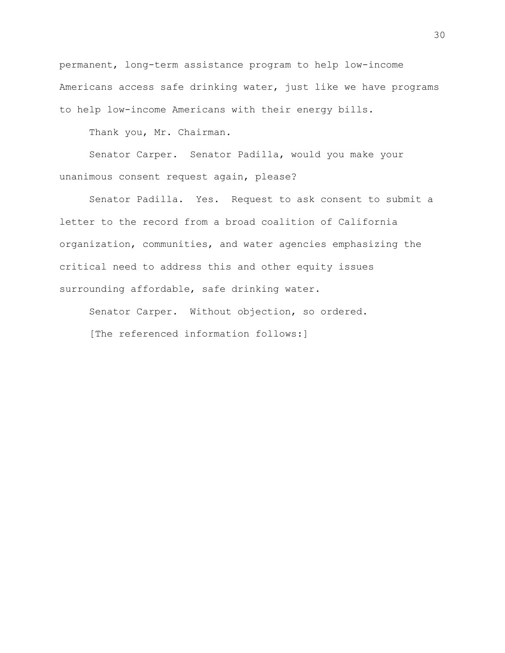permanent, long-term assistance program to help low-income Americans access safe drinking water, just like we have programs to help low-income Americans with their energy bills.

Thank you, Mr. Chairman.

Senator Carper. Senator Padilla, would you make your unanimous consent request again, please?

Senator Padilla. Yes. Request to ask consent to submit a letter to the record from a broad coalition of California organization, communities, and water agencies emphasizing the critical need to address this and other equity issues surrounding affordable, safe drinking water.

Senator Carper. Without objection, so ordered. [The referenced information follows:]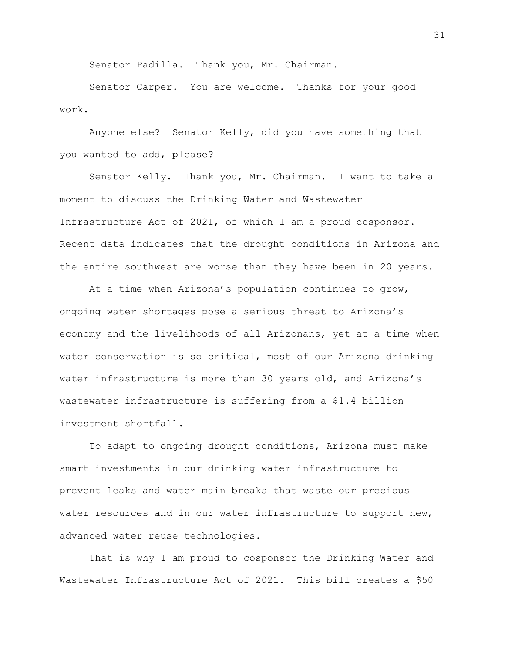Senator Padilla. Thank you, Mr. Chairman.

Senator Carper. You are welcome. Thanks for your good work.

Anyone else? Senator Kelly, did you have something that you wanted to add, please?

Senator Kelly. Thank you, Mr. Chairman. I want to take a moment to discuss the Drinking Water and Wastewater Infrastructure Act of 2021, of which I am a proud cosponsor. Recent data indicates that the drought conditions in Arizona and the entire southwest are worse than they have been in 20 years.

At a time when Arizona's population continues to grow, ongoing water shortages pose a serious threat to Arizona's economy and the livelihoods of all Arizonans, yet at a time when water conservation is so critical, most of our Arizona drinking water infrastructure is more than 30 years old, and Arizona's wastewater infrastructure is suffering from a \$1.4 billion investment shortfall.

To adapt to ongoing drought conditions, Arizona must make smart investments in our drinking water infrastructure to prevent leaks and water main breaks that waste our precious water resources and in our water infrastructure to support new, advanced water reuse technologies.

That is why I am proud to cosponsor the Drinking Water and Wastewater Infrastructure Act of 2021. This bill creates a \$50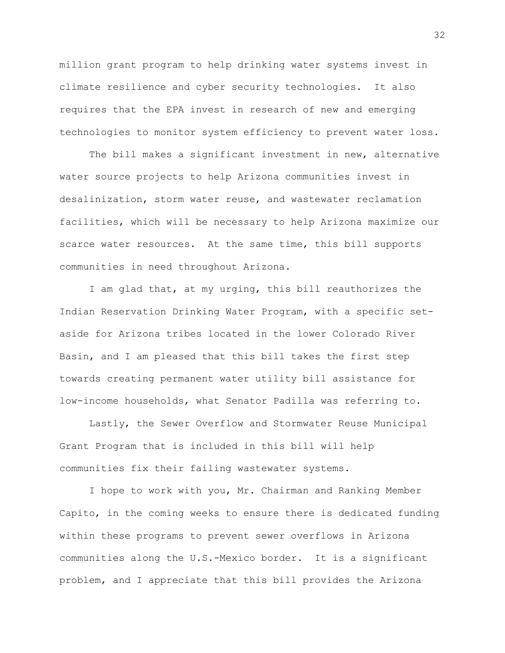million grant program to help drinking water systems invest in climate resilience and cyber security technologies. It also requires that the EPA invest in research of new and emerging technologies to monitor system efficiency to prevent water loss.

The bill makes a significant investment in new, alternative water source projects to help Arizona communities invest in desalinization, storm water reuse, and wastewater reclamation facilities, which will be necessary to help Arizona maximize our scarce water resources. At the same time, this bill supports communities in need throughout Arizona.

I am glad that, at my urging, this bill reauthorizes the Indian Reservation Drinking Water Program, with a specific setaside for Arizona tribes located in the lower Colorado River Basin, and I am pleased that this bill takes the first step towards creating permanent water utility bill assistance for low-income households, what Senator Padilla was referring to.

Lastly, the Sewer Overflow and Stormwater Reuse Municipal Grant Program that is included in this bill will help communities fix their failing wastewater systems.

I hope to work with you, Mr. Chairman and Ranking Member Capito, in the coming weeks to ensure there is dedicated funding within these programs to prevent sewer overflows in Arizona communities along the U.S.-Mexico border. It is a significant problem, and I appreciate that this bill provides the Arizona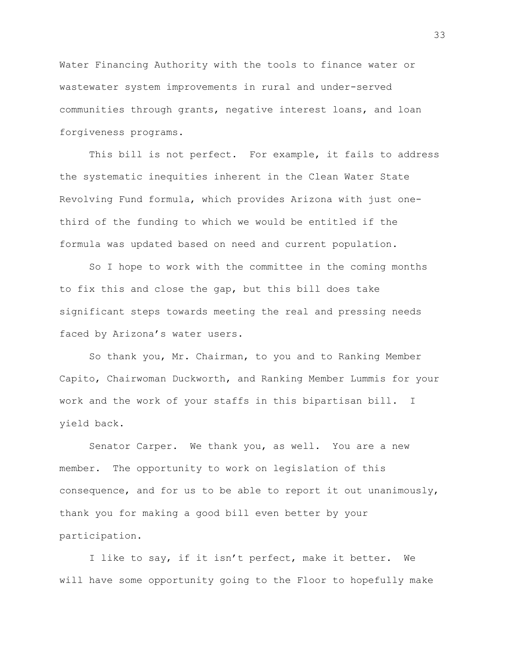Water Financing Authority with the tools to finance water or wastewater system improvements in rural and under-served communities through grants, negative interest loans, and loan forgiveness programs.

This bill is not perfect. For example, it fails to address the systematic inequities inherent in the Clean Water State Revolving Fund formula, which provides Arizona with just onethird of the funding to which we would be entitled if the formula was updated based on need and current population.

So I hope to work with the committee in the coming months to fix this and close the gap, but this bill does take significant steps towards meeting the real and pressing needs faced by Arizona's water users.

So thank you, Mr. Chairman, to you and to Ranking Member Capito, Chairwoman Duckworth, and Ranking Member Lummis for your work and the work of your staffs in this bipartisan bill. I yield back.

Senator Carper. We thank you, as well. You are a new member. The opportunity to work on legislation of this consequence, and for us to be able to report it out unanimously, thank you for making a good bill even better by your participation.

I like to say, if it isn't perfect, make it better. We will have some opportunity going to the Floor to hopefully make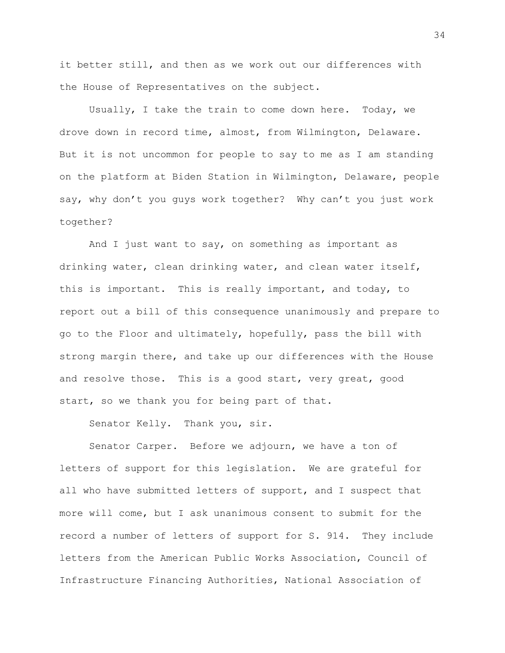it better still, and then as we work out our differences with the House of Representatives on the subject.

Usually, I take the train to come down here. Today, we drove down in record time, almost, from Wilmington, Delaware. But it is not uncommon for people to say to me as I am standing on the platform at Biden Station in Wilmington, Delaware, people say, why don't you guys work together? Why can't you just work together?

And I just want to say, on something as important as drinking water, clean drinking water, and clean water itself, this is important. This is really important, and today, to report out a bill of this consequence unanimously and prepare to go to the Floor and ultimately, hopefully, pass the bill with strong margin there, and take up our differences with the House and resolve those. This is a good start, very great, good start, so we thank you for being part of that.

Senator Kelly. Thank you, sir.

Senator Carper. Before we adjourn, we have a ton of letters of support for this legislation. We are grateful for all who have submitted letters of support, and I suspect that more will come, but I ask unanimous consent to submit for the record a number of letters of support for S. 914. They include letters from the American Public Works Association, Council of Infrastructure Financing Authorities, National Association of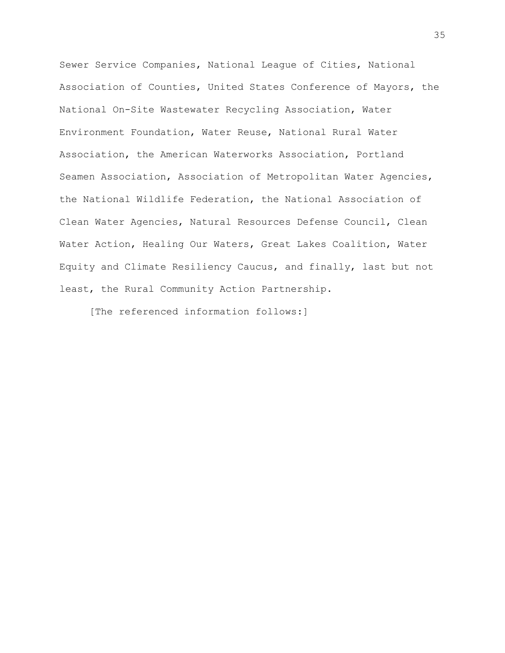Sewer Service Companies, National League of Cities, National Association of Counties, United States Conference of Mayors, the National On-Site Wastewater Recycling Association, Water Environment Foundation, Water Reuse, National Rural Water Association, the American Waterworks Association, Portland Seamen Association, Association of Metropolitan Water Agencies, the National Wildlife Federation, the National Association of Clean Water Agencies, Natural Resources Defense Council, Clean Water Action, Healing Our Waters, Great Lakes Coalition, Water Equity and Climate Resiliency Caucus, and finally, last but not least, the Rural Community Action Partnership.

[The referenced information follows:]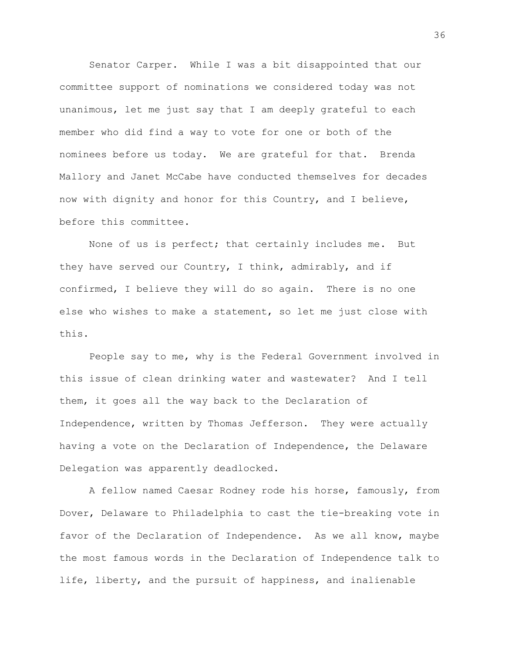Senator Carper. While I was a bit disappointed that our committee support of nominations we considered today was not unanimous, let me just say that I am deeply grateful to each member who did find a way to vote for one or both of the nominees before us today. We are grateful for that. Brenda Mallory and Janet McCabe have conducted themselves for decades now with dignity and honor for this Country, and I believe, before this committee.

None of us is perfect; that certainly includes me. But they have served our Country, I think, admirably, and if confirmed, I believe they will do so again. There is no one else who wishes to make a statement, so let me just close with this.

People say to me, why is the Federal Government involved in this issue of clean drinking water and wastewater? And I tell them, it goes all the way back to the Declaration of Independence, written by Thomas Jefferson. They were actually having a vote on the Declaration of Independence, the Delaware Delegation was apparently deadlocked.

A fellow named Caesar Rodney rode his horse, famously, from Dover, Delaware to Philadelphia to cast the tie-breaking vote in favor of the Declaration of Independence. As we all know, maybe the most famous words in the Declaration of Independence talk to life, liberty, and the pursuit of happiness, and inalienable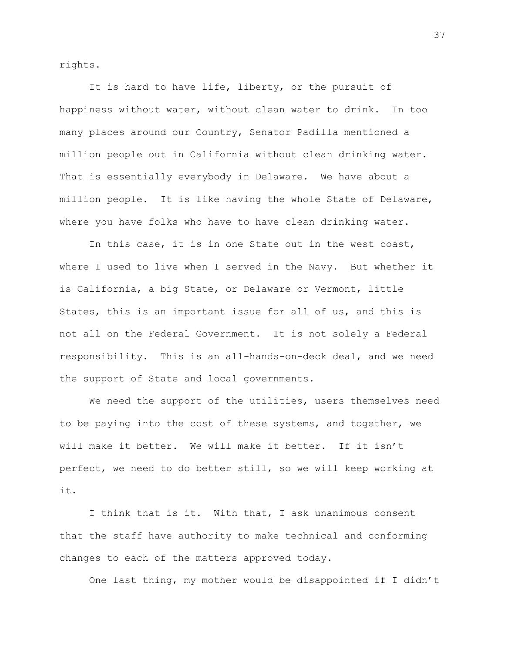rights.

It is hard to have life, liberty, or the pursuit of happiness without water, without clean water to drink. In too many places around our Country, Senator Padilla mentioned a million people out in California without clean drinking water. That is essentially everybody in Delaware. We have about a million people. It is like having the whole State of Delaware, where you have folks who have to have clean drinking water.

In this case, it is in one State out in the west coast, where I used to live when I served in the Navy. But whether it is California, a big State, or Delaware or Vermont, little States, this is an important issue for all of us, and this is not all on the Federal Government. It is not solely a Federal responsibility. This is an all-hands-on-deck deal, and we need the support of State and local governments.

We need the support of the utilities, users themselves need to be paying into the cost of these systems, and together, we will make it better. We will make it better. If it isn't perfect, we need to do better still, so we will keep working at it.

I think that is it. With that, I ask unanimous consent that the staff have authority to make technical and conforming changes to each of the matters approved today.

One last thing, my mother would be disappointed if I didn't